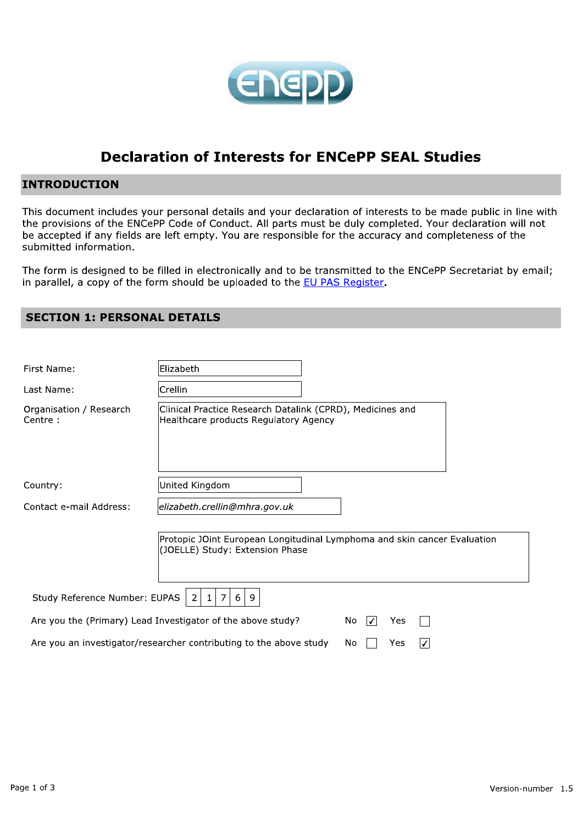

# **Declaration of Interests for ENCePP SEAL Studies**

# **INTRODUCTION**

This document includes your personal details and your declaration of interests to be made public in line with the provisions of the ENCePP Code of Conduct. All parts must be duly completed. Your declaration will not be accepted if any fields are left empty. You are responsible for the accuracy and completeness of the submitted information.

The form is designed to be filled in electronically and to be transmitted to the ENCePP Secretariat by email; in parallel, a copy of the form should be uploaded to the EU PAS Register.

| First Name:                         | Elizabeth                                                                                                   |                 |
|-------------------------------------|-------------------------------------------------------------------------------------------------------------|-----------------|
| Last Name:                          | Crellin                                                                                                     |                 |
| Organisation / Research<br>Centre : | Clinical Practice Research Datalink (CPRD), Medicines and<br>Healthcare products Regulatory Agency          |                 |
| Country:                            | United Kingdom                                                                                              |                 |
| Contact e-mail Address:             | elizabeth.crellin@mhra.gov.uk                                                                               |                 |
|                                     | Protopic JOint European Longitudinal Lymphoma and skin cancer Evaluation<br>(JOELLE) Study: Extension Phase |                 |
| Study Reference Number: EUPAS       | 7<br>2<br>6<br>$\mathbf{1}$<br>9                                                                            |                 |
|                                     | Are you the (Primary) Lead Investigator of the above study?                                                 | No.<br>₩<br>Yes |
|                                     | Are you an investigator/researcher contributing to the above study                                          | Νo<br>Yes       |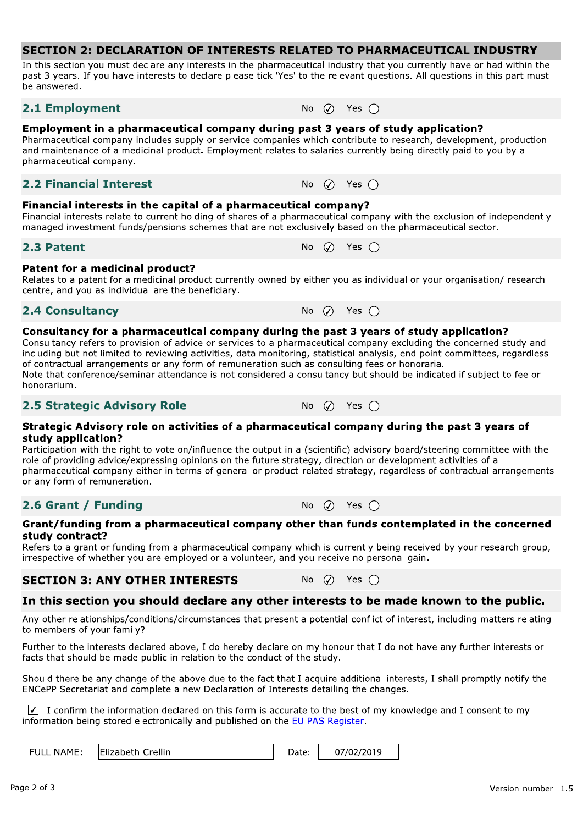In this section you must declare any interests in the pharmaceutical industry that you currently have or had within the past 3 years. If you have interests to declare please tick 'Yes' to the relevant questions. All questions in this part must be answered.

# 2.1 Employment

No  $\varnothing$  Yes  $\bigcap$ 

Yes  $\bigcap$ 

Yes  $\bigcap$ 

Yes  $\bigcap$ 

#### Employment in a pharmaceutical company during past 3 years of study application?

Pharmaceutical company includes supply or service companies which contribute to research, development, production and maintenance of a medicinal product. Employment relates to salaries currently being directly paid to you by a pharmaceutical company.

# **2.2 Financial Interest**

#### Financial interests in the capital of a pharmaceutical company?

Financial interests relate to current holding of shares of a pharmaceutical company with the exclusion of independently managed investment funds/pensions schemes that are not exclusively based on the pharmaceutical sector.

No.  $\odot$ 

No  $\varnothing$ 

# 2.3 Patent

#### Patent for a medicinal product?

Relates to a patent for a medicinal product currently owned by either you as individual or your organisation/research centre, and you as individual are the beneficiary.

#### **2.4 Consultancy**

#### Consultancy for a pharmaceutical company during the past 3 years of study application?

Consultancy refers to provision of advice or services to a pharmaceutical company excluding the concerned study and including but not limited to reviewing activities, data monitoring, statistical analysis, end point committees, regardless of contractual arrangements or any form of remuneration such as consulting fees or honoraria. Note that conference/seminar attendance is not considered a consultancy but should be indicated if subject to fee or

**No** 

 $\mathcal{L}$ 

# honorarium.

# **2.5 Strategic Advisory Role**

#### Strategic Advisory role on activities of a pharmaceutical company during the past 3 years of study application?

Participation with the right to vote on/influence the output in a (scientific) advisory board/steering committee with the role of providing advice/expressing opinions on the future strategy, direction or development activities of a pharmaceutical company either in terms of general or product-related strategy, regardless of contractual arrangements or any form of remuneration.

# 2.6 Grant / Funding

#### Grant/funding from a pharmaceutical company other than funds contemplated in the concerned study contract?

Refers to a grant or funding from a pharmaceutical company which is currently being received by your research group, irrespective of whether you are employed or a volunteer, and you receive no personal gain.

# **SECTION 3: ANY OTHER INTERESTS**

# In this section you should declare any other interests to be made known to the public.

Any other relationships/conditions/circumstances that present a potential conflict of interest, including matters relating to members of your family?

Further to the interests declared above, I do hereby declare on my honour that I do not have any further interests or facts that should be made public in relation to the conduct of the study.

Should there be any change of the above due to the fact that I acquire additional interests, I shall promptly notify the ENCePP Secretariat and complete a new Declaration of Interests detailing the changes.

 $\sqrt{\phantom{a}}$  I confirm the information declared on this form is accurate to the best of my knowledge and I consent to my information being stored electronically and published on the EU PAS Register.

Elizabeth Crellin

Date: 07/02/2019

No  $\varnothing$  Yes  $\bigcap$ 

No  $\oslash$  Yes  $\bigcap$ 



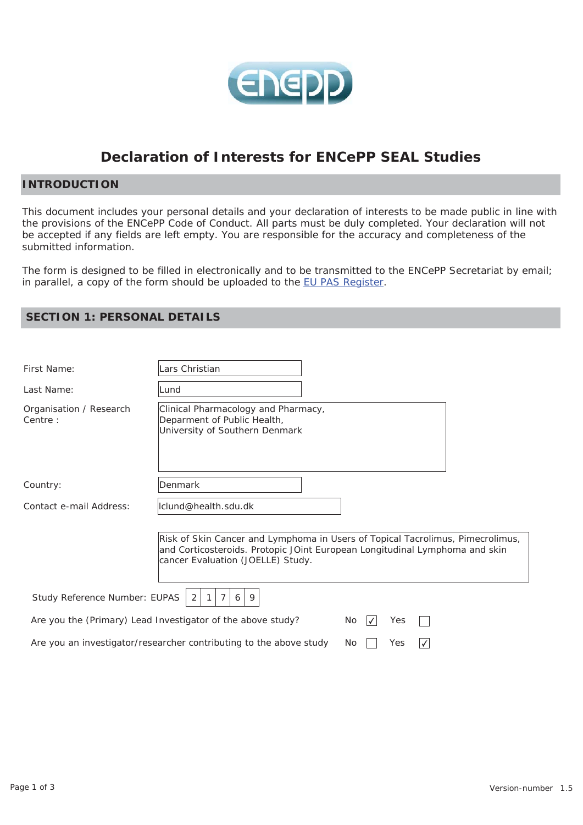

# **Declaration of Interests for ENCePP SEAL Studies**

# **INTRODUCTION**

This document includes your personal details and your declaration of interests to be made public in line with the provisions of the ENCePP Code of Conduct. All parts must be duly completed. Your declaration will not be accepted if any fields are left empty. You are responsible for the accuracy and completeness of the submitted information.

The form is designed to be filled in electronically and to be transmitted to the ENCePP Secretariat by email; in parallel, a copy of the form should be uploaded to the EU PAS Register.

| First Name:                        | ars Christian                                                                                                                                                                                      |
|------------------------------------|----------------------------------------------------------------------------------------------------------------------------------------------------------------------------------------------------|
| Last Name:                         | Lund                                                                                                                                                                                               |
| Organisation / Research<br>Centre: | Clinical Pharmacology and Pharmacy,<br>Deparment of Public Health,<br>University of Southern Denmark                                                                                               |
| Country:                           | Denmark                                                                                                                                                                                            |
| Contact e-mail Address:            | Iclund@health.sdu.dk                                                                                                                                                                               |
|                                    | Risk of Skin Cancer and Lymphoma in Users of Topical Tacrolimus, Pimecrolimus,<br>and Corticosteroids. Protopic JOint European Longitudinal Lymphoma and skin<br>cancer Evaluation (JOELLE) Study. |
| Study Reference Number: EUPAS      | 9<br>2<br>6                                                                                                                                                                                        |
|                                    | Are you the (Primary) Lead Investigator of the above study?<br>No.<br>Yes                                                                                                                          |
|                                    | Are you an investigator/researcher contributing to the above study<br>Yes<br>No                                                                                                                    |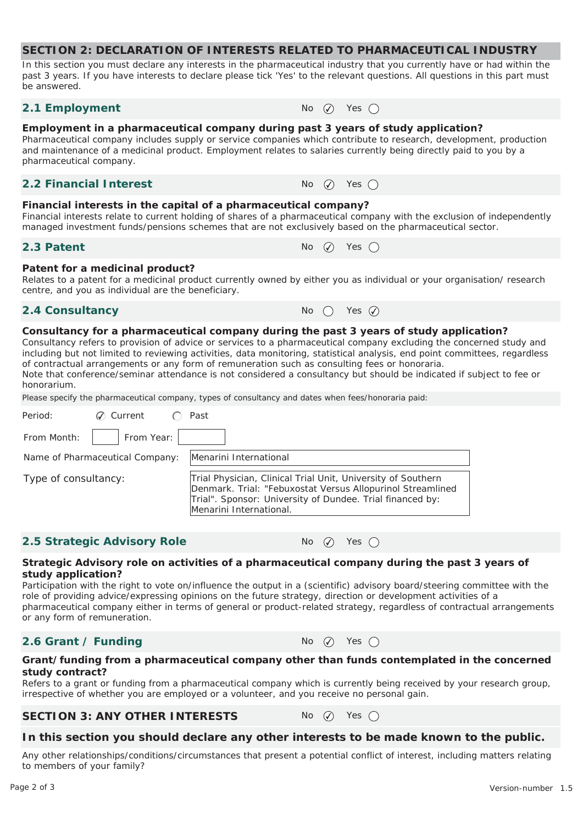In this section you must declare any interests in the pharmaceutical industry that you currently have or had within the past 3 years. If you have interests to declare please tick 'Yes' to the relevant questions. All questions in this part must be answered.

#### **2.1 Employment**  $N_0$   $\qquad \qquad N_1$  Yes  $\qquad \qquad N_2$

#### **Employment in a pharmaceutical company during past 3 years of study application?**

Pharmaceutical company includes supply or service companies which contribute to research, development, production and maintenance of a medicinal product. Employment relates to salaries currently being directly paid to you by a pharmaceutical company.

#### **2.2 Financial Interest**  $\qquad \qquad \mathsf{No} \quad \mathsf{No} \quad \mathsf{Yes} \cap \mathsf{No}$

#### **Financial interests in the capital of a pharmaceutical company?**

Financial interests relate to current holding of shares of a pharmaceutical company with the exclusion of independently managed investment funds/pensions schemes that are not exclusively based on the pharmaceutical sector.

#### **2.3 Patent**  $\bigcap_{n=1}^{\infty} P_n$   $\bigcap_{n=1}^{\infty} P_n$   $\bigcap_{n=1}^{\infty} P_n$   $\bigcap_{n=1}^{\infty} P_n$   $\bigcap_{n=1}^{\infty} P_n$

#### **Patent for a medicinal product?**

Relates to a patent for a medicinal product currently owned by either you as individual or your organisation/ research centre, and you as individual are the beneficiary.

#### **2.4 Consultancy**  $\qquad \qquad \mathsf{No} \quad \bigcirc \quad \mathsf{Yes} \quad \emptyset$



#### **Consultancy for a pharmaceutical company during the past 3 years of study application?**

Consultancy refers to provision of advice or services to a pharmaceutical company excluding the concerned study and including but not limited to reviewing activities, data monitoring, statistical analysis, end point committees, regardless of contractual arrangements or any form of remuneration such as consulting fees or honoraria.

Note that conference/seminar attendance is not considered a consultancy but should be indicated if subject to fee or honorarium.

Please specify the pharmaceutical company, types of consultancy and dates when fees/honoraria paid:

| Period:              | $\oslash$ Current               | Past                                                                                                                                                                                                               |
|----------------------|---------------------------------|--------------------------------------------------------------------------------------------------------------------------------------------------------------------------------------------------------------------|
| From Month:          | From Year:                      |                                                                                                                                                                                                                    |
|                      | Name of Pharmaceutical Company: | Menarini International                                                                                                                                                                                             |
| Type of consultancy: |                                 | Trial Physician, Clinical Trial Unit, University of Southern<br>Denmark. Trial: "Febuxostat Versus Allopurinol Streamlined<br>Trial". Sponsor: University of Dundee. Trial financed by:<br>Menarini International. |

# **2.5 Strategic Advisory Role** No  $\varphi$  Yes  $\bigcirc$

#### **Strategic Advisory role on activities of a pharmaceutical company during the past 3 years of study application?**

Participation with the right to vote on/influence the output in a (scientific) advisory board/steering committee with the role of providing advice/expressing opinions on the future strategy, direction or development activities of a pharmaceutical company either in terms of general or product-related strategy, regardless of contractual arrangements or any form of remuneration.

# **2.6 Grant / Funding** No  $\mathcal{O}$  Yes  $\bigcap$

#### **Grant/funding from a pharmaceutical company other than funds contemplated in the concerned study contract?**

Refers to a grant or funding from a pharmaceutical company which is currently being received by your research group, irrespective of whether you are employed or a volunteer, and you receive no personal gain.

# **SECTION 3: ANY OTHER INTERESTS** No  $\oslash$  Yes  $\bigcirc$

# **In this section you should declare any other interests to be made known to the public.**

Any other relationships/conditions/circumstances that present a potential conflict of interest, including matters relating to members of your family?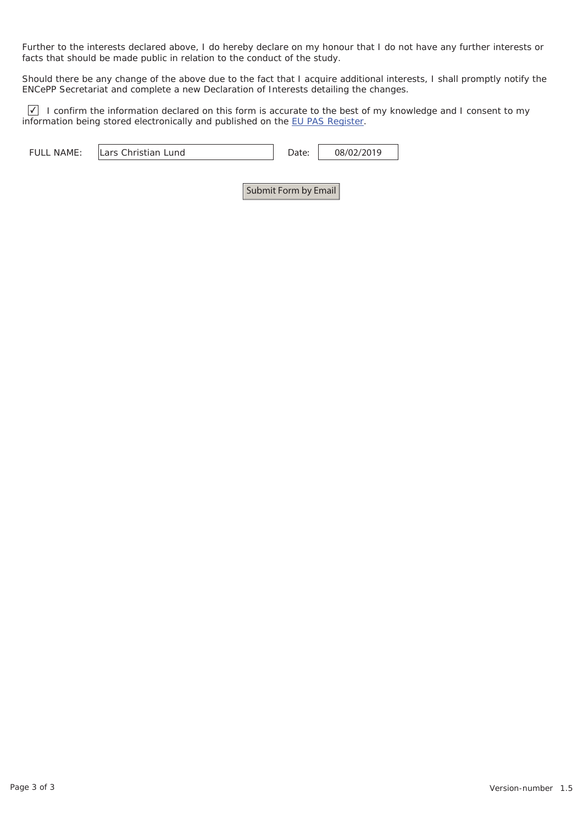Further to the interests declared above, I do hereby declare on my honour that I do not have any further interests or facts that should be made public in relation to the conduct of the study.

Should there be any change of the above due to the fact that I acquire additional interests, I shall promptly notify the ENCePP Secretariat and complete a new Declaration of Interests detailing the changes.

I confirm the information declared on this form is accurate to the best of my knowledge and I consent to my information being stored electronically and published on the EU PAS Register.

| <b>NAME</b><br><b>FULL</b><br>Lund<br>$\sim$ reports<br>$'$ lease in the set of the set of $\sim$<br>. ISTE 31 | $\ddotsc$ | 019 |
|----------------------------------------------------------------------------------------------------------------|-----------|-----|
|----------------------------------------------------------------------------------------------------------------|-----------|-----|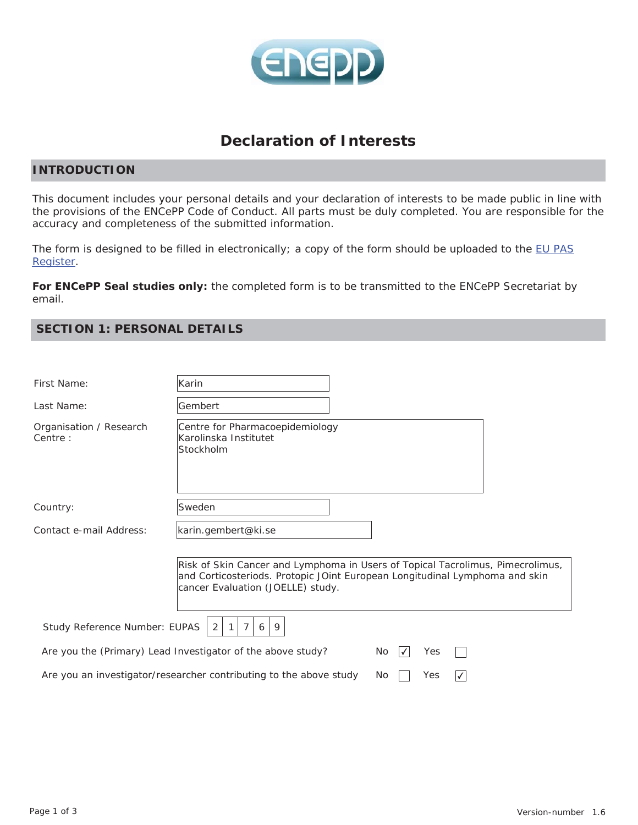

# **Declaration of Interests**

# **INTRODUCTION**

This document includes your personal details and your declaration of interests to be made public in line with the provisions of the ENCePP Code of Conduct. All parts must be duly completed. You are responsible for the accuracy and completeness of the submitted information.

The form is designed to be filled in electronically; a copy of the form should be uploaded to the EU PAS Register.

**For ENCePP Seal studies only:** the completed form is to be transmitted to the ENCePP Secretariat by email.

| First Name:                        | Karin                                                                                                                                                                                              |
|------------------------------------|----------------------------------------------------------------------------------------------------------------------------------------------------------------------------------------------------|
| Last Name:                         | Gembert                                                                                                                                                                                            |
| Organisation / Research<br>Centre: | Centre for Pharmacoepidemiology<br>Karolinska Institutet<br>Stockholm                                                                                                                              |
| Country:                           | Sweden                                                                                                                                                                                             |
| Contact e-mail Address:            | karin.gembert@ki.se                                                                                                                                                                                |
|                                    | Risk of Skin Cancer and Lymphoma in Users of Topical Tacrolimus, Pimecrolimus,<br>and Corticosteriods. Protopic JOint European Longitudinal Lymphoma and skin<br>cancer Evaluation (JOELLE) study. |
| Study Reference Number: EUPAS      | 2<br>9<br>$\mathbf{1}$<br>7<br>6                                                                                                                                                                   |
|                                    | Are you the (Primary) Lead Investigator of the above study?<br>No.<br>Yes<br>$\overline{\mathcal{A}}$                                                                                              |
|                                    | Are you an investigator/researcher contributing to the above study<br>Yes<br>No<br>√                                                                                                               |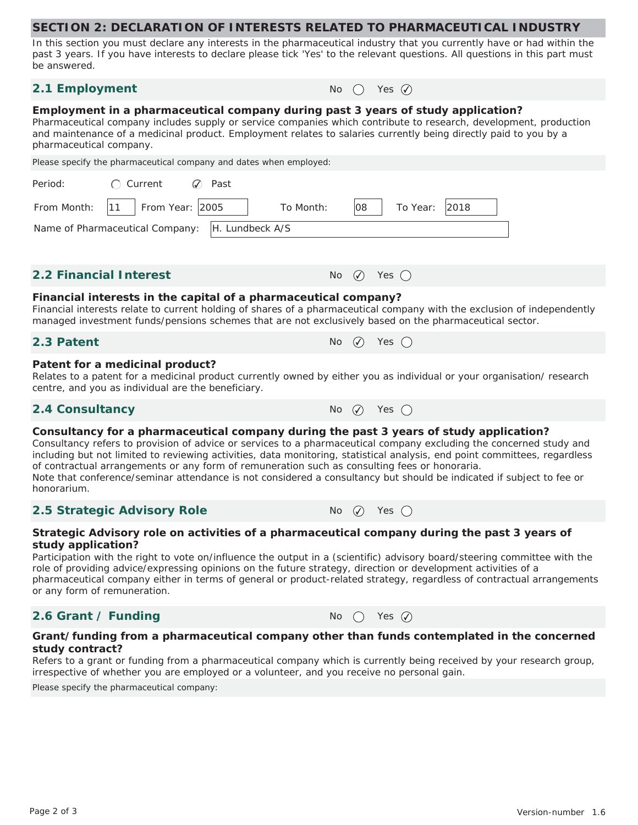In this section you must declare any interests in the pharmaceutical industry that you currently have or had within the past 3 years. If you have interests to declare please tick 'Yes' to the relevant questions. All questions in this part must be answered.

# **2.1 Employment**  $N_0$  ( $\vee$  Yes  $\oslash$

#### **Employment in a pharmaceutical company during past 3 years of study application?**

Pharmaceutical company includes supply or service companies which contribute to research, development, production and maintenance of a medicinal product. Employment relates to salaries currently being directly paid to you by a pharmaceutical company.

| Please specify the pharmaceutical company and dates when employed:                                                                                                                                                                                                                                                                                                                                                                                                                                                                                                                  |                                        |  |  |  |
|-------------------------------------------------------------------------------------------------------------------------------------------------------------------------------------------------------------------------------------------------------------------------------------------------------------------------------------------------------------------------------------------------------------------------------------------------------------------------------------------------------------------------------------------------------------------------------------|----------------------------------------|--|--|--|
| Period:<br>$\bigcap$ Current<br>Past<br>$\mathcal{Q}$                                                                                                                                                                                                                                                                                                                                                                                                                                                                                                                               |                                        |  |  |  |
| From Year: 2005<br>From Month:<br> 11<br>To Month:                                                                                                                                                                                                                                                                                                                                                                                                                                                                                                                                  | 2018<br>108<br>To Year:                |  |  |  |
| H. Lundbeck A/S<br>Name of Pharmaceutical Company:                                                                                                                                                                                                                                                                                                                                                                                                                                                                                                                                  |                                        |  |  |  |
| <b>2.2 Financial Interest</b>                                                                                                                                                                                                                                                                                                                                                                                                                                                                                                                                                       | No $\varnothing$<br>Yes $\bigcap$      |  |  |  |
| Financial interests in the capital of a pharmaceutical company?<br>Financial interests relate to current holding of shares of a pharmaceutical company with the exclusion of independently<br>managed investment funds/pensions schemes that are not exclusively based on the pharmaceutical sector.                                                                                                                                                                                                                                                                                |                                        |  |  |  |
| 2.3 Patent                                                                                                                                                                                                                                                                                                                                                                                                                                                                                                                                                                          | $\odot$<br>Yes $\bigcirc$<br><b>No</b> |  |  |  |
| Patent for a medicinal product?<br>Relates to a patent for a medicinal product currently owned by either you as individual or your organisation/research<br>centre, and you as individual are the beneficiary.                                                                                                                                                                                                                                                                                                                                                                      |                                        |  |  |  |
| 2.4 Consultancy                                                                                                                                                                                                                                                                                                                                                                                                                                                                                                                                                                     | No $\varnothing$<br>Yes $\bigcap$      |  |  |  |
| Consultancy for a pharmaceutical company during the past 3 years of study application?<br>Consultancy refers to provision of advice or services to a pharmaceutical company excluding the concerned study and<br>including but not limited to reviewing activities, data monitoring, statistical analysis, end point committees, regardless<br>of contractual arrangements or any form of remuneration such as consulting fees or honoraria.<br>Note that conference/seminar attendance is not considered a consultancy but should be indicated if subject to fee or<br>honorarium. |                                        |  |  |  |
| 2.5 Strategic Advisory Role                                                                                                                                                                                                                                                                                                                                                                                                                                                                                                                                                         | No $\varphi$<br>Yes $\bigcap$          |  |  |  |
| Strategic Advisory role on activities of a pharmaceutical company during the past 3 years of<br>study application?<br>Participation with the right to vote on/influence the output in a (scientific) advisory board/steering committee with the<br>role of providing advice/expressing opinions on the future strategy, direction or development activities of a<br>pharmaceutical company either in terms of general or product-related strategy, regardless of contractual arrangements<br>or any form of remuneration.                                                           |                                        |  |  |  |

# **2.6 Grant / Funding** No  $\bigcirc$  Yes  $\emptyset$

#### **Grant/funding from a pharmaceutical company other than funds contemplated in the concerned study contract?**

Refers to a grant or funding from a pharmaceutical company which is currently being received by your research group, irrespective of whether you are employed or a volunteer, and you receive no personal gain.

Please specify the pharmaceutical company: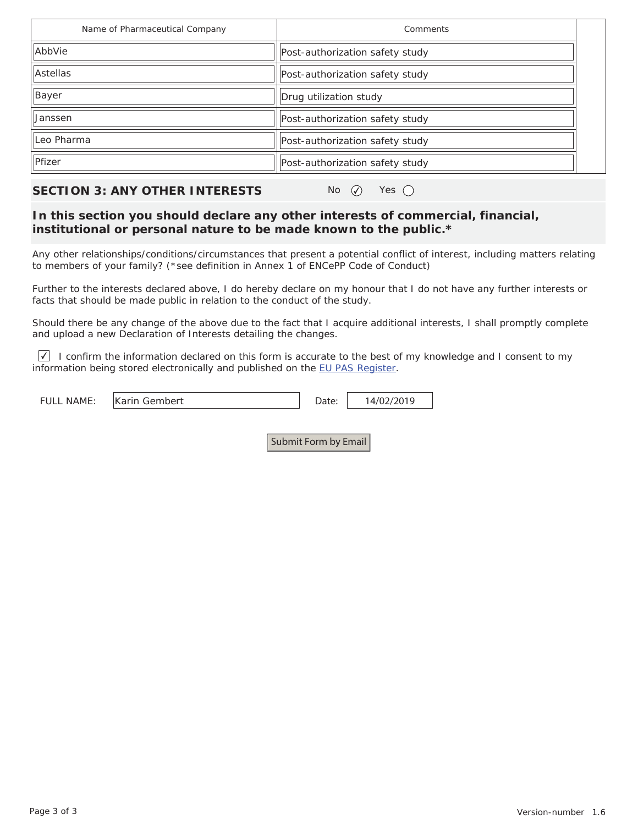| Name of Pharmaceutical Company | Comments                        |  |
|--------------------------------|---------------------------------|--|
| AbbVie                         | Post-authorization safety study |  |
| Astellas                       | Post-authorization safety study |  |
| Bayer                          | Drug utilization study          |  |
| Janssen                        | Post-authorization safety study |  |
| Leo Pharma                     | Post-authorization safety study |  |
| Pfizer                         | Post-authorization safety study |  |

# **SECTION 3: ANY OTHER INTERESTS** No  $\varnothing$  Yes  $\bigcirc$

# **In this section you should declare any other interests of commercial, financial, institutional or personal nature to be made known to the public.\***

Any other relationships/conditions/circumstances that present a potential conflict of interest, including matters relating to members of your family? (\*see definition in Annex 1 of ENCePP Code of Conduct)

Further to the interests declared above, I do hereby declare on my honour that I do not have any further interests or facts that should be made public in relation to the conduct of the study.

Should there be any change of the above due to the fact that I acquire additional interests, I shall promptly complete and upload a new Declaration of Interests detailing the changes.

I confirm the information declared on this form is accurate to the best of my knowledge and I consent to my information being stored electronically and published on the EU PAS Register.

| . NAME:<br>FULL. | Karin Gembert | )ate: | 14/02/2019 |
|------------------|---------------|-------|------------|
|                  |               |       |            |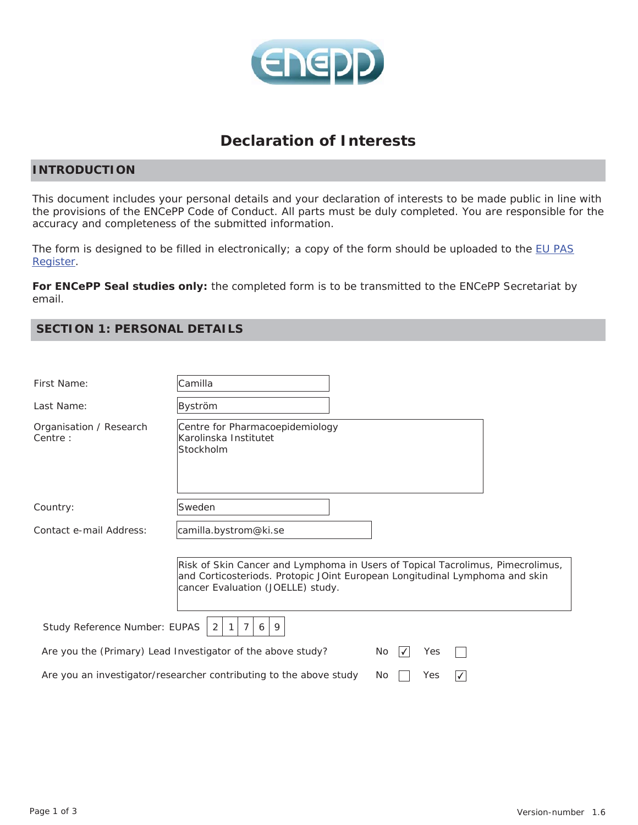

# **Declaration of Interests**

# **INTRODUCTION**

This document includes your personal details and your declaration of interests to be made public in line with the provisions of the ENCePP Code of Conduct. All parts must be duly completed. You are responsible for the accuracy and completeness of the submitted information.

The form is designed to be filled in electronically; a copy of the form should be uploaded to the EU PAS Register.

**For ENCePP Seal studies only:** the completed form is to be transmitted to the ENCePP Secretariat by email.

| First Name:                        | Camilla                                                                                                                                                                                            |
|------------------------------------|----------------------------------------------------------------------------------------------------------------------------------------------------------------------------------------------------|
| Last Name:                         | Byström                                                                                                                                                                                            |
| Organisation / Research<br>Centre: | Centre for Pharmacoepidemiology<br>Karolinska Institutet<br>Stockholm                                                                                                                              |
| Country:                           | Sweden                                                                                                                                                                                             |
| Contact e-mail Address:            | camilla.bystrom@ki.se                                                                                                                                                                              |
|                                    | Risk of Skin Cancer and Lymphoma in Users of Topical Tacrolimus, Pimecrolimus,<br>and Corticosteriods. Protopic JOint European Longitudinal Lymphoma and skin<br>cancer Evaluation (JOELLE) study. |
| Study Reference Number: EUPAS      | 2<br>$\overline{7}$<br>9<br>$\mathbf{1}$<br>6                                                                                                                                                      |
|                                    | Are you the (Primary) Lead Investigator of the above study?<br>No<br>Yes<br>₩                                                                                                                      |
|                                    | Are you an investigator/researcher contributing to the above study<br>Yes<br>No<br>✓                                                                                                               |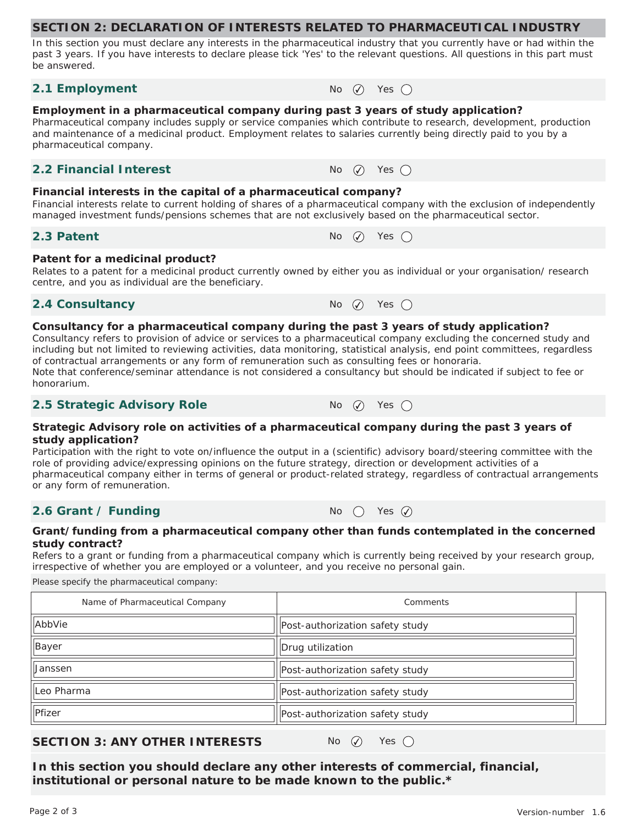In this section you must declare any interests in the pharmaceutical industry that you currently have or had within the past 3 years. If you have interests to declare please tick 'Yes' to the relevant questions. All questions in this part must be answered.

#### **2.1 Employment**  $N_0$   $\oslash$  Yes  $\oslash$

#### **Employment in a pharmaceutical company during past 3 years of study application?**

Pharmaceutical company includes supply or service companies which contribute to research, development, production and maintenance of a medicinal product. Employment relates to salaries currently being directly paid to you by a pharmaceutical company.

#### **2.2 Financial Interest**  $\qquad \qquad \mathsf{No} \quad \mathsf{No} \quad \mathsf{Yes} \quad \mathsf{On}$

#### **Financial interests in the capital of a pharmaceutical company?**

Financial interests relate to current holding of shares of a pharmaceutical company with the exclusion of independently managed investment funds/pensions schemes that are not exclusively based on the pharmaceutical sector.

#### **2.3 Patent**  $\bigcap_{n=1}^{\infty} P_n$   $\bigcap_{n=1}^{\infty} P_n$   $\bigcap_{n=1}^{\infty} P_n$   $\bigcap_{n=1}^{\infty} P_n$   $\bigcap_{n=1}^{\infty} P_n$

#### **Patent for a medicinal product?**

Relates to a patent for a medicinal product currently owned by either you as individual or your organisation/ research centre, and you as individual are the beneficiary.

# **2.4 Consultancy** No  $\varnothing$  Yes  $\bigcap$

#### **Consultancy for a pharmaceutical company during the past 3 years of study application?**

Consultancy refers to provision of advice or services to a pharmaceutical company excluding the concerned study and including but not limited to reviewing activities, data monitoring, statistical analysis, end point committees, regardless of contractual arrangements or any form of remuneration such as consulting fees or honoraria. Note that conference/seminar attendance is not considered a consultancy but should be indicated if subject to fee or honorarium.

# **2.5 Strategic Advisory Role** No ⊘ Yes ○

#### **Strategic Advisory role on activities of a pharmaceutical company during the past 3 years of study application?**

Participation with the right to vote on/influence the output in a (scientific) advisory board/steering committee with the role of providing advice/expressing opinions on the future strategy, direction or development activities of a pharmaceutical company either in terms of general or product-related strategy, regardless of contractual arrangements or any form of remuneration.

# **2.6 Grant / Funding**  $N_0$  (  $\gamma$  Yes  $\widehat{Q}$

#### **Grant/funding from a pharmaceutical company other than funds contemplated in the concerned study contract?**

Refers to a grant or funding from a pharmaceutical company which is currently being received by your research group, irrespective of whether you are employed or a volunteer, and you receive no personal gain.

Please specify the pharmaceutical company:

| Name of Pharmaceutical Company | Comments                        |  |
|--------------------------------|---------------------------------|--|
| AbbVie                         | Post-authorization safety study |  |
| Bayer                          | Drug utilization                |  |
| <b>Janssen</b>                 | Post-authorization safety study |  |
| IlLeo Pharma                   | Post-authorization safety study |  |
| Pfizer                         | Post-authorization safety study |  |

# **SECTION 3: ANY OTHER INTERESTS** No  $\varnothing$  Yes  $\bigcap$

**In this section you should declare any other interests of commercial, financial, institutional or personal nature to be made known to the public.\***

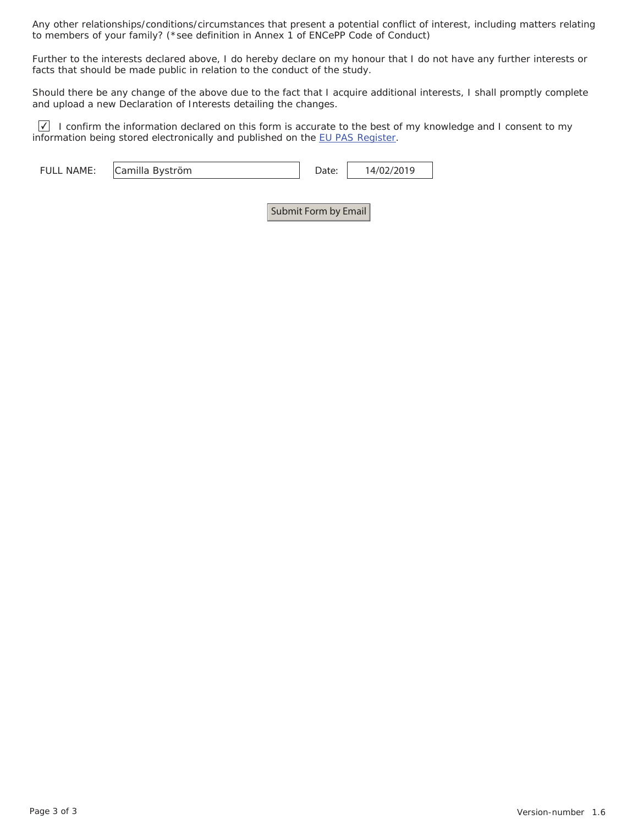Any other relationships/conditions/circumstances that present a potential conflict of interest, including matters relating to members of your family? (\*see definition in Annex 1 of ENCePP Code of Conduct)

Further to the interests declared above, I do hereby declare on my honour that I do not have any further interests or facts that should be made public in relation to the conduct of the study.

Should there be any change of the above due to the fact that I acquire additional interests, I shall promptly complete and upload a new Declaration of Interests detailing the changes.

 $\vee$  I confirm the information declared on this form is accurate to the best of my knowledge and I consent to my information being stored electronically and published on the EU PAS Register.

| <b>FULL NAME:</b> | Camilla Byström | 14/02/2019 |
|-------------------|-----------------|------------|
|                   |                 |            |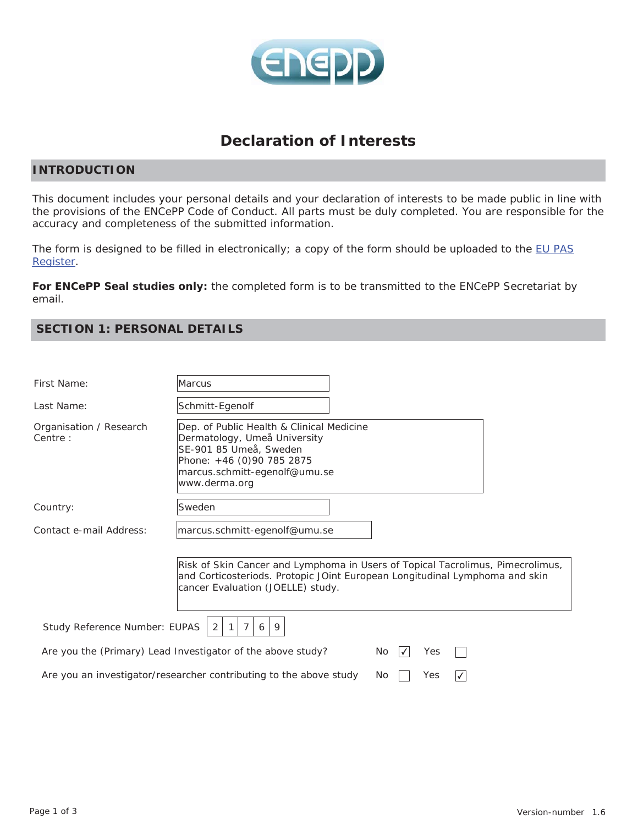

# **Declaration of Interests**

# **INTRODUCTION**

This document includes your personal details and your declaration of interests to be made public in line with the provisions of the ENCePP Code of Conduct. All parts must be duly completed. You are responsible for the accuracy and completeness of the submitted information.

The form is designed to be filled in electronically; a copy of the form should be uploaded to the EU PAS Register.

**For ENCePP Seal studies only:** the completed form is to be transmitted to the ENCePP Secretariat by email.

| First Name:                                                                                     | Marcus                                                                                                                                                                                             |  |  |
|-------------------------------------------------------------------------------------------------|----------------------------------------------------------------------------------------------------------------------------------------------------------------------------------------------------|--|--|
| Last Name:                                                                                      | Schmitt-Egenolf                                                                                                                                                                                    |  |  |
| Organisation / Research<br>Centre:                                                              | Dep. of Public Health & Clinical Medicine<br>Dermatology, Umeå University<br>SE-901 85 Umeå, Sweden<br>Phone: +46 (0)90 785 2875<br>marcus.schmitt-egenolf@umu.se<br>www.derma.org                 |  |  |
| Country:                                                                                        | Sweden                                                                                                                                                                                             |  |  |
| Contact e-mail Address:                                                                         | marcus.schmitt-egenolf@umu.se                                                                                                                                                                      |  |  |
|                                                                                                 | Risk of Skin Cancer and Lymphoma in Users of Topical Tacrolimus, Pimecrolimus,<br>and Corticosteriods. Protopic JOint European Longitudinal Lymphoma and skin<br>cancer Evaluation (JOELLE) study. |  |  |
| Study Reference Number: EUPAS<br>$\overline{7}$<br>9<br>2<br>$\mathbf{1}$<br>6                  |                                                                                                                                                                                                    |  |  |
|                                                                                                 | Are you the (Primary) Lead Investigator of the above study?<br>No<br>Yes<br>∨                                                                                                                      |  |  |
| Are you an investigator/researcher contributing to the above study<br>No<br>Yes<br>$\checkmark$ |                                                                                                                                                                                                    |  |  |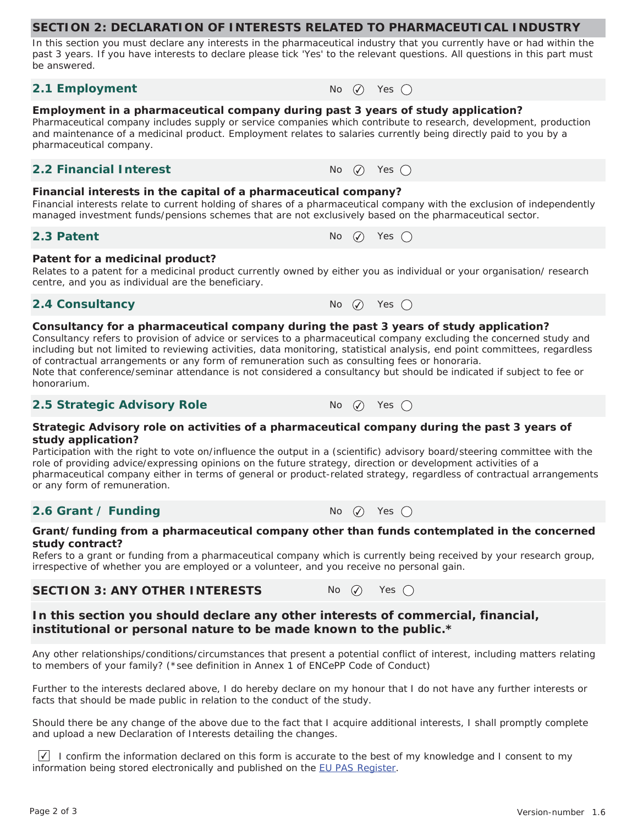In this section you must declare any interests in the pharmaceutical industry that you currently have or had within the past 3 years. If you have interests to declare please tick 'Yes' to the relevant questions. All questions in this part must be answered.

#### **2.1 Employment**  $N_0$   $\oslash$  Yes  $\oslash$

# **Employment in a pharmaceutical company during past 3 years of study application?**

Pharmaceutical company includes supply or service companies which contribute to research, development, production and maintenance of a medicinal product. Employment relates to salaries currently being directly paid to you by a pharmaceutical company.

#### **2.2 Financial Interest**  $\qquad \qquad \mathsf{No} \quad \mathsf{No} \quad \mathsf{Yes} \quad \mathsf{On}$

#### **Financial interests in the capital of a pharmaceutical company?**

Financial interests relate to current holding of shares of a pharmaceutical company with the exclusion of independently managed investment funds/pensions schemes that are not exclusively based on the pharmaceutical sector.

#### **Patent for a medicinal product?**

Relates to a patent for a medicinal product currently owned by either you as individual or your organisation/ research centre, and you as individual are the beneficiary.

# **2.4 Consultancy** No  $\varnothing$  Yes  $\bigcap$

#### **Consultancy for a pharmaceutical company during the past 3 years of study application?**

Consultancy refers to provision of advice or services to a pharmaceutical company excluding the concerned study and including but not limited to reviewing activities, data monitoring, statistical analysis, end point committees, regardless of contractual arrangements or any form of remuneration such as consulting fees or honoraria. Note that conference/seminar attendance is not considered a consultancy but should be indicated if subject to fee or honorarium.

#### **2.5 Strategic Advisory Role** No  $\oslash$  Yes  $\bigcirc$

#### **Strategic Advisory role on activities of a pharmaceutical company during the past 3 years of study application?**

Participation with the right to vote on/influence the output in a (scientific) advisory board/steering committee with the role of providing advice/expressing opinions on the future strategy, direction or development activities of a pharmaceutical company either in terms of general or product-related strategy, regardless of contractual arrangements or any form of remuneration.

# **2.6 Grant / Funding**  $N_0$   $\qquad \qquad N_1$   $N_2$   $\qquad \qquad N_3$   $\qquad \qquad N_4$

#### **Grant/funding from a pharmaceutical company other than funds contemplated in the concerned study contract?**

Refers to a grant or funding from a pharmaceutical company which is currently being received by your research group, irrespective of whether you are employed or a volunteer, and you receive no personal gain.

# **SECTION 3: ANY OTHER INTERESTS** No  $\varnothing$  Yes  $\bigcirc$

# **In this section you should declare any other interests of commercial, financial, institutional or personal nature to be made known to the public.\***

Any other relationships/conditions/circumstances that present a potential conflict of interest, including matters relating to members of your family? (\*see definition in Annex 1 of ENCePP Code of Conduct)

Further to the interests declared above, I do hereby declare on my honour that I do not have any further interests or facts that should be made public in relation to the conduct of the study.

Should there be any change of the above due to the fact that I acquire additional interests, I shall promptly complete and upload a new Declaration of Interests detailing the changes.

I confirm the information declared on this form is accurate to the best of my knowledge and I consent to my information being stored electronically and published on the EU PAS Register.





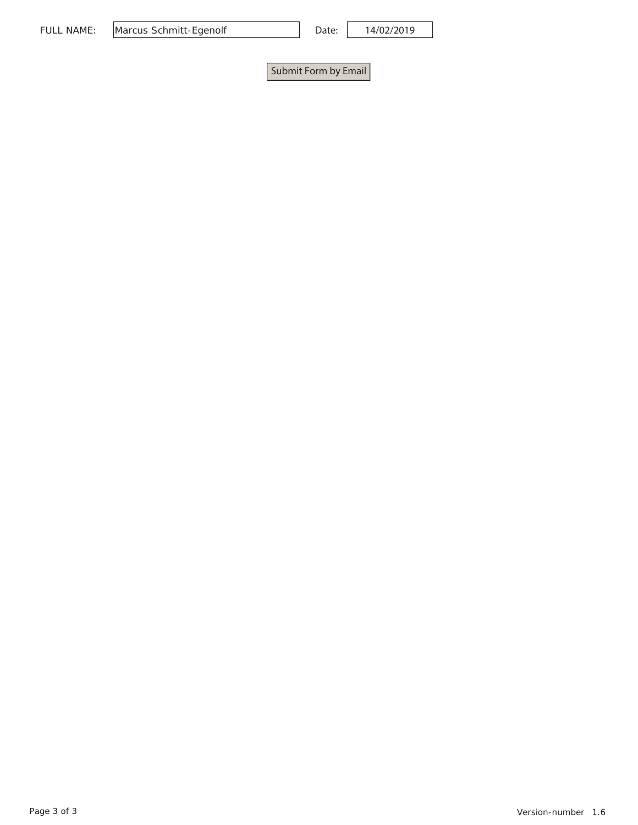| Marcus Schmitt-Egenolf<br>NAME:<br>FULI |
|-----------------------------------------|
|-----------------------------------------|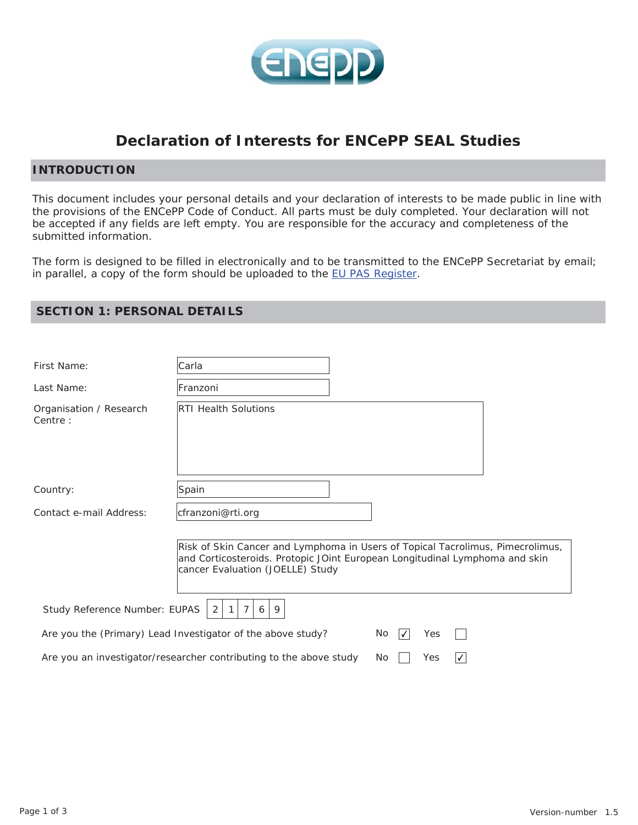

# **Declaration of Interests for ENCePP SEAL Studies**

#### **INTRODUCTION**

This document includes your personal details and your declaration of interests to be made public in line with the provisions of the ENCePP Code of Conduct. All parts must be duly completed. Your declaration will not be accepted if any fields are left empty. You are responsible for the accuracy and completeness of the submitted information.

The form is designed to be filled in electronically and to be transmitted to the ENCePP Secretariat by email; in parallel, a copy of the form should be uploaded to the EU PAS Register.

| First Name:                         | Carla                                                                                                                                                                                             |
|-------------------------------------|---------------------------------------------------------------------------------------------------------------------------------------------------------------------------------------------------|
| Last Name:                          | Franzoni                                                                                                                                                                                          |
| Organisation / Research<br>Centre : | <b>RTI Health Solutions</b>                                                                                                                                                                       |
|                                     |                                                                                                                                                                                                   |
| Country:                            | Spain                                                                                                                                                                                             |
| Contact e-mail Address:             | cfranzoni@rti.org                                                                                                                                                                                 |
|                                     | Risk of Skin Cancer and Lymphoma in Users of Topical Tacrolimus, Pimecrolimus,<br>and Corticosteroids. Protopic JOint European Longitudinal Lymphoma and skin<br>cancer Evaluation (JOELLE) Study |
| Study Reference Number: EUPAS       | $\overline{7}$<br>2<br>1<br>6<br>9                                                                                                                                                                |
|                                     | Are you the (Primary) Lead Investigator of the above study?<br>No.<br>Yes<br>$\sqrt{}$                                                                                                            |
|                                     | Are you an investigator/researcher contributing to the above study<br>Yes<br>No.                                                                                                                  |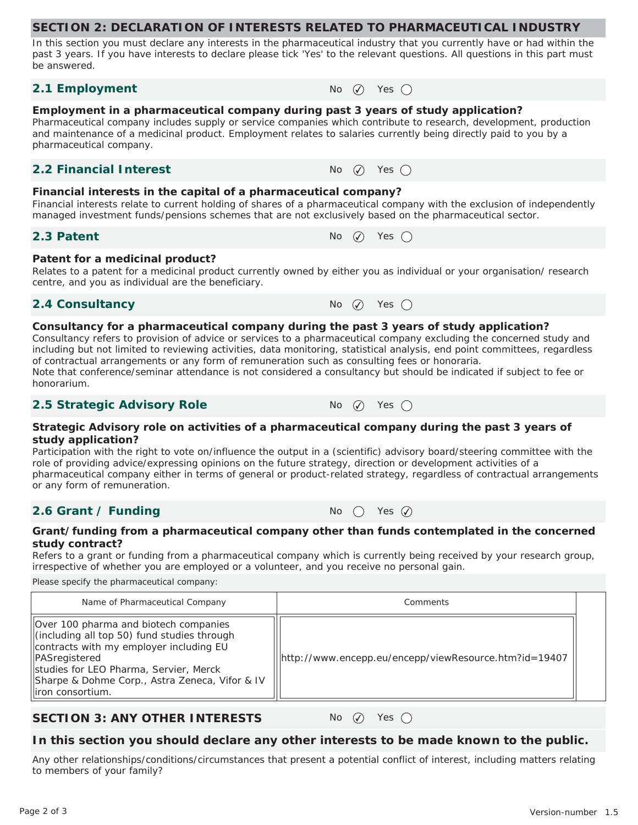In this section you must declare any interests in the pharmaceutical industry that you currently have or had within the past 3 years. If you have interests to declare please tick 'Yes' to the relevant questions. All questions in this part must be answered.

#### **2.1 Employment**  $N_0$   $\oslash$  Yes  $\oslash$

# **Employment in a pharmaceutical company during past 3 years of study application?**

Pharmaceutical company includes supply or service companies which contribute to research, development, production and maintenance of a medicinal product. Employment relates to salaries currently being directly paid to you by a pharmaceutical company.

#### **2.2 Financial Interest**  $\qquad \qquad \mathsf{No} \quad \mathsf{No} \quad \mathsf{Yes} \quad \mathsf{On}$

#### **Financial interests in the capital of a pharmaceutical company?**

Financial interests relate to current holding of shares of a pharmaceutical company with the exclusion of independently managed investment funds/pensions schemes that are not exclusively based on the pharmaceutical sector.

#### **2.3 Patent**  $\bigcap_{n=1}^{\infty} P_n$   $\bigcap_{n=1}^{\infty} P_n$   $\bigcap_{n=1}^{\infty} P_n$   $\bigcap_{n=1}^{\infty} P_n$   $\bigcap_{n=1}^{\infty} P_n$

#### **Patent for a medicinal product?**

Relates to a patent for a medicinal product currently owned by either you as individual or your organisation/ research centre, and you as individual are the beneficiary.

# **2.4 Consultancy** No  $\oslash$  Yes  $\bigcirc$

#### **Consultancy for a pharmaceutical company during the past 3 years of study application?**

Consultancy refers to provision of advice or services to a pharmaceutical company excluding the concerned study and including but not limited to reviewing activities, data monitoring, statistical analysis, end point committees, regardless of contractual arrangements or any form of remuneration such as consulting fees or honoraria. Note that conference/seminar attendance is not considered a consultancy but should be indicated if subject to fee or honorarium.

# **2.5 Strategic Advisory Role** No ⊘ Yes ○

#### **Strategic Advisory role on activities of a pharmaceutical company during the past 3 years of study application?**

Participation with the right to vote on/influence the output in a (scientific) advisory board/steering committee with the role of providing advice/expressing opinions on the future strategy, direction or development activities of a pharmaceutical company either in terms of general or product-related strategy, regardless of contractual arrangements or any form of remuneration.

# **2.6 Grant / Funding**  $N_0$  (  $\gamma$  Yes  $\widehat{Q}$

**Grant/funding from a pharmaceutical company other than funds contemplated in the concerned study contract?** 

Refers to a grant or funding from a pharmaceutical company which is currently being received by your research group, irrespective of whether you are employed or a volunteer, and you receive no personal gain.

Please specify the pharmaceutical company:

| Name of Pharmaceutical Company                                                                                                                                                                                                                                             | Comments                                              |  |
|----------------------------------------------------------------------------------------------------------------------------------------------------------------------------------------------------------------------------------------------------------------------------|-------------------------------------------------------|--|
| Over 100 pharma and biotech companies<br>(including all top 50) fund studies through<br>contracts with my employer including EU<br><b>PASregistered</b><br>Studies for LEO Pharma, Servier, Merck<br> Sharpe & Dohme Corp., Astra Zeneca, Vifor & IV<br>lliron consortium. | http://www.encepp.eu/encepp/viewResource.htm?id=19407 |  |

# **SECTION 3: ANY OTHER INTERESTS** No  $\varnothing$  Yes  $\bigcap$

# **In this section you should declare any other interests to be made known to the public.**

Any other relationships/conditions/circumstances that present a potential conflict of interest, including matters relating to members of your family?